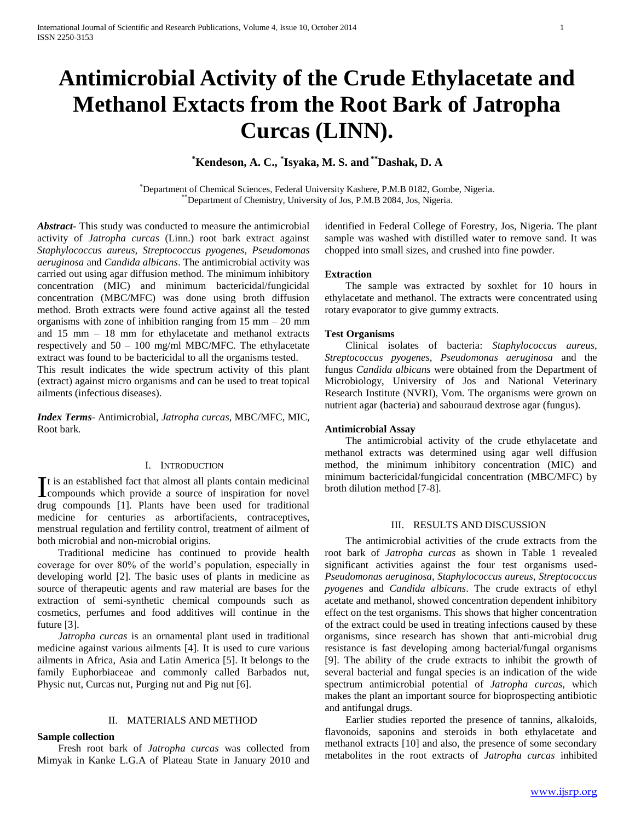# **Antimicrobial Activity of the Crude Ethylacetate and Methanol Extacts from the Root Bark of Jatropha Curcas (LINN).**

## **\*Kendeson, A. C., \* Isyaka, M. S. and \*\*Dashak, D. A**

\*Department of Chemical Sciences, Federal University Kashere, P.M.B 0182, Gombe, Nigeria. \*\*Department of Chemistry, University of Jos, P.M.B 2084, Jos, Nigeria.

*Abstract***-** This study was conducted to measure the antimicrobial activity of *Jatropha curcas* (Linn.) root bark extract against *Staphylococcus aureus, Streptococcus pyogenes, Pseudomonas aeruginosa* and *Candida albicans*. The antimicrobial activity was carried out using agar diffusion method. The minimum inhibitory concentration (MIC) and minimum bactericidal/fungicidal concentration (MBC/MFC) was done using broth diffusion method. Broth extracts were found active against all the tested organisms with zone of inhibition ranging from  $15 \text{ mm} - 20 \text{ mm}$ and 15 mm – 18 mm for ethylacetate and methanol extracts respectively and 50 – 100 mg/ml MBC/MFC. The ethylacetate extract was found to be bactericidal to all the organisms tested.

This result indicates the wide spectrum activity of this plant (extract) against micro organisms and can be used to treat topical ailments (infectious diseases).

*Index Terms*- Antimicrobial, *Jatropha curcas,* MBC/MFC, MIC, Root bark*.*

#### I. INTRODUCTION

t is an established fact that almost all plants contain medicinal It is an established fact that almost all plants contain medicinal<br>compounds which provide a source of inspiration for novel drug compounds [1]. Plants have been used for traditional medicine for centuries as arbortifacients, contraceptives, menstrual regulation and fertility control, treatment of ailment of both microbial and non-microbial origins.

 Traditional medicine has continued to provide health coverage for over 80% of the world's population, especially in developing world [2]. The basic uses of plants in medicine as source of therapeutic agents and raw material are bases for the extraction of semi-synthetic chemical compounds such as cosmetics, perfumes and food additives will continue in the future [3].

 *Jatropha curcas* is an ornamental plant used in traditional medicine against various ailments [4]. It is used to cure various ailments in Africa, Asia and Latin America [5]. It belongs to the family Euphorbiaceae and commonly called Barbados nut, Physic nut, Curcas nut, Purging nut and Pig nut [6].

#### II. MATERIALS AND METHOD

#### **Sample collection**

 Fresh root bark of *Jatropha curcas* was collected from Mimyak in Kanke L.G.A of Plateau State in January 2010 and

identified in Federal College of Forestry, Jos, Nigeria. The plant sample was washed with distilled water to remove sand. It was chopped into small sizes, and crushed into fine powder.

#### **Extraction**

 The sample was extracted by soxhlet for 10 hours in ethylacetate and methanol. The extracts were concentrated using rotary evaporator to give gummy extracts.

#### **Test Organisms**

 Clinical isolates of bacteria: *Staphylococcus aureus, Streptococcus pyogenes, Pseudomonas aeruginosa* and the fungus *Candida albicans* were obtained from the Department of Microbiology, University of Jos and National Veterinary Research Institute (NVRI), Vom. The organisms were grown on nutrient agar (bacteria) and sabouraud dextrose agar (fungus).

#### **Antimicrobial Assay**

 The antimicrobial activity of the crude ethylacetate and methanol extracts was determined using agar well diffusion method, the minimum inhibitory concentration (MIC) and minimum bactericidal/fungicidal concentration (MBC/MFC) by broth dilution method [7-8].

#### III. RESULTS AND DISCUSSION

 The antimicrobial activities of the crude extracts from the root bark of *Jatropha curcas* as shown in Table 1 revealed significant activities against the four test organisms used-*Pseudomonas aeruginosa, Staphylococcus aureus, Streptococcus pyogenes* and *Candida albicans*. The crude extracts of ethyl acetate and methanol, showed concentration dependent inhibitory effect on the test organisms. This shows that higher concentration of the extract could be used in treating infections caused by these organisms, since research has shown that anti-microbial drug resistance is fast developing among bacterial/fungal organisms [9]. The ability of the crude extracts to inhibit the growth of several bacterial and fungal species is an indication of the wide spectrum antimicrobial potential of *Jatropha curcas,* which makes the plant an important source for bioprospecting antibiotic and antifungal drugs.

 Earlier studies reported the presence of tannins, alkaloids, flavonoids, saponins and steroids in both ethylacetate and methanol extracts [10] and also, the presence of some secondary metabolites in the root extracts of *Jatropha curcas* inhibited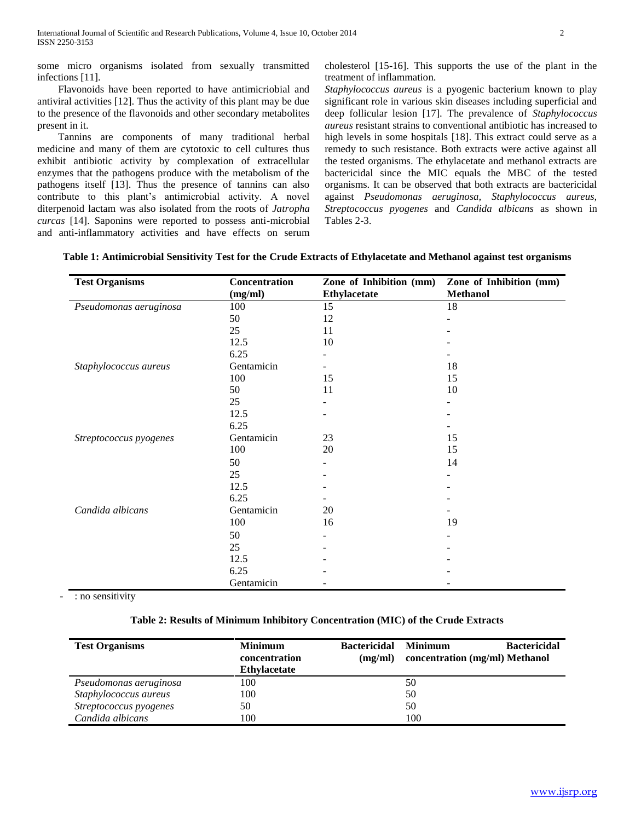some micro organisms isolated from sexually transmitted infections [11].

 Flavonoids have been reported to have antimicriobial and antiviral activities [12]. Thus the activity of this plant may be due to the presence of the flavonoids and other secondary metabolites present in it.

 Tannins are components of many traditional herbal medicine and many of them are cytotoxic to cell cultures thus exhibit antibiotic activity by complexation of extracellular enzymes that the pathogens produce with the metabolism of the pathogens itself [13]. Thus the presence of tannins can also contribute to this plant's antimicrobial activity. A novel diterpenoid lactam was also isolated from the roots of *Jatropha curcas* [14]. Saponins were reported to possess anti-microbial and anti-inflammatory activities and have effects on serum cholesterol [15-16]. This supports the use of the plant in the treatment of inflammation.

*Staphylococcus aureus* is a pyogenic bacterium known to play significant role in various skin diseases including superficial and deep follicular lesion [17]. The prevalence of *Staphylococcus aureus* resistant strains to conventional antibiotic has increased to high levels in some hospitals [18]. This extract could serve as a remedy to such resistance. Both extracts were active against all the tested organisms. The ethylacetate and methanol extracts are bactericidal since the MIC equals the MBC of the tested organisms. It can be observed that both extracts are bactericidal against *Pseudomonas aeruginosa, Staphylococcus aureus, Streptococcus pyogenes* and *Candida albicans* as shown in Tables 2-3.

| Table 1: Antimicrobial Sensitivity Test for the Crude Extracts of Ethylacetate and Methanol against test organisms |  |
|--------------------------------------------------------------------------------------------------------------------|--|
|                                                                                                                    |  |

| <b>Test Organisms</b>  | Concentration | Zone of Inhibition (mm) | Zone of Inhibition (mm) |
|------------------------|---------------|-------------------------|-------------------------|
|                        | (mg/ml)       | <b>Ethylacetate</b>     | <b>Methanol</b>         |
| Pseudomonas aeruginosa | 100           | 15                      | 18                      |
|                        | 50            | 12                      |                         |
|                        | 25            | 11                      |                         |
|                        | 12.5          | 10                      |                         |
|                        | 6.25          |                         |                         |
| Staphylococcus aureus  | Gentamicin    |                         | 18                      |
|                        | 100           | 15                      | 15                      |
|                        | 50            | 11                      | 10                      |
|                        | 25            |                         |                         |
|                        | 12.5          |                         |                         |
|                        | 6.25          |                         |                         |
| Streptococcus pyogenes | Gentamicin    | 23                      | 15                      |
|                        | 100           | 20                      | 15                      |
|                        | 50            |                         | 14                      |
|                        | 25            |                         |                         |
|                        | 12.5          |                         |                         |
|                        | 6.25          |                         |                         |
| Candida albicans       | Gentamicin    | 20                      |                         |
|                        | 100           | 16                      | 19                      |
|                        | 50            | ۰                       |                         |
|                        | 25            |                         |                         |
|                        | 12.5          |                         |                         |
|                        | 6.25          |                         |                         |
|                        | Gentamicin    |                         |                         |

: no sensitivity

#### **Table 2: Results of Minimum Inhibitory Concentration (MIC) of the Crude Extracts**

| <b>Test Organisms</b>  | <b>Minimum</b><br>concentration<br><b>Ethylacetate</b> | <b>Bactericidal</b><br>(mg/ml) | <b>Minimum</b><br><b>Bactericidal</b><br>concentration (mg/ml) Methanol |
|------------------------|--------------------------------------------------------|--------------------------------|-------------------------------------------------------------------------|
| Pseudomonas aeruginosa | 100                                                    |                                | 50                                                                      |
| Staphylococcus aureus  | 100                                                    |                                | 50                                                                      |
| Streptococcus pyogenes | 50                                                     |                                | 50                                                                      |
| Candida albicans       | 100                                                    |                                | 100                                                                     |